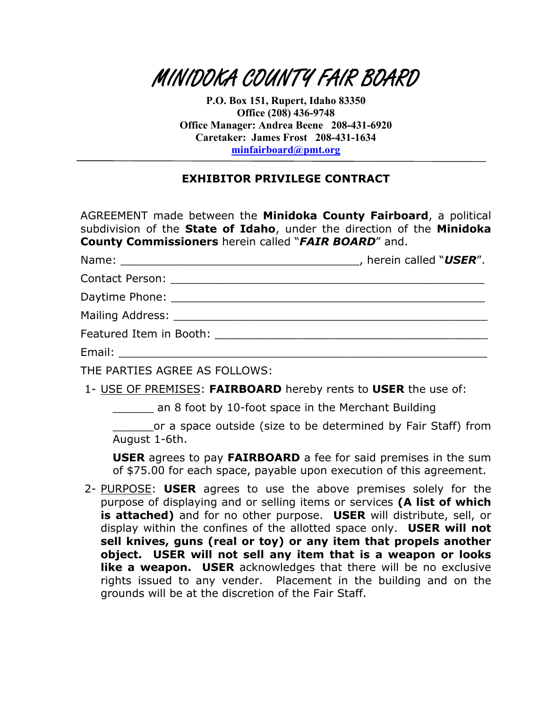

**P.O. Box 151, Rupert, Idaho 83350 Office (208) 436-9748 Office Manager: Andrea Beene 208-431-6920 Caretaker: James Frost 208-431-1634 [minfairboard@pmt.org](mailto:minfairboard@pmt.org)**

## **EXHIBITOR PRIVILEGE CONTRACT**

AGREEMENT made between the **Minidoka County Fairboard**, a political subdivision of the **State of Idaho**, under the direction of the **Minidoka County Commissioners** herein called "*FAIR BOARD*" and.

|                                                                                                                                                                                                                                | , herein called "USER". |
|--------------------------------------------------------------------------------------------------------------------------------------------------------------------------------------------------------------------------------|-------------------------|
| Contact Person: 2000 2000 2010                                                                                                                                                                                                 |                         |
| Daytime Phone: The Contract of the Contract of the Contract of the Contract of the Contract of the Contract of the Contract of the Contract of the Contract of the Contract of the Contract of the Contract of the Contract of |                         |
| Mailing Address: No. 1996. The Second Second Second Second Second Second Second Second Second Second Second Second Second Second Second Second Second Second Second Second Second Second Second Second Second Second Second Se |                         |
| Featured Item in Booth:                                                                                                                                                                                                        |                         |

Email: \_\_\_\_\_\_\_\_\_\_\_\_\_\_\_\_\_\_\_\_\_\_\_\_\_\_\_\_\_\_\_\_\_\_\_\_\_\_\_\_\_\_\_\_\_\_\_\_\_\_\_\_\_\_

THE PARTIES AGREE AS FOLLOWS:

1- USE OF PREMISES: **FAIRBOARD** hereby rents to **USER** the use of:

\_\_\_\_\_\_ an 8 foot by 10-foot space in the Merchant Building

or a space outside (size to be determined by Fair Staff) from August 1-6th.

**USER** agrees to pay **FAIRBOARD** a fee for said premises in the sum of \$75.00 for each space, payable upon execution of this agreement.

2- PURPOSE: **USER** agrees to use the above premises solely for the purpose of displaying and or selling items or services **(A list of which is attached)** and for no other purpose. **USER** will distribute, sell, or display within the confines of the allotted space only. **USER will not sell knives, guns (real or toy) or any item that propels another object. USER will not sell any item that is a weapon or looks like a weapon. USER** acknowledges that there will be no exclusive rights issued to any vender. Placement in the building and on the grounds will be at the discretion of the Fair Staff.